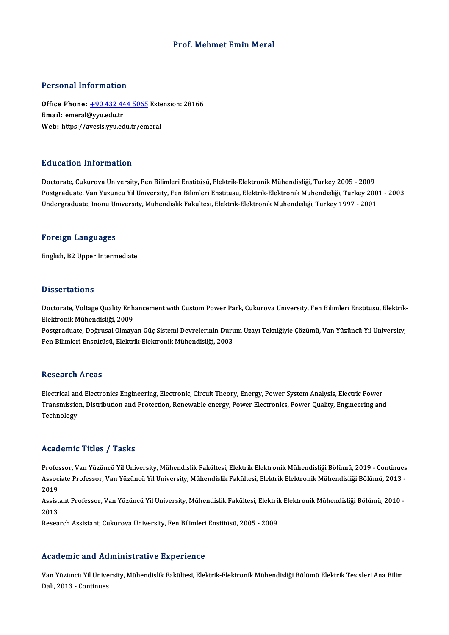### Prof. Mehmet Emin Meral

#### Personal Information

Personal Information<br>Office Phone: <u>+90 432 444 5065</u> Extension: 28166<br>Email: emeral@unu.edu.tr Francischer Hitler<br>Office Phone: <u>+90 432 44</u><br>Email: emeral@yyu.edu.tr Office Phone: <u>+90 432 444 5065</u> Exte<br>Email: emeral@yyu.edu.tr<br>Web: https://a[vesis.yyu.edu.tr/em](tel:+90 432 444 5065)eral Web: https://avesis.yyu.edu.tr/emeral<br>Education Information

Doctorate, Cukurova University, Fen Bilimleri Enstitüsü, Elektrik-Elektronik Mühendisliği, Turkey 2005 - 2009 Pu u sutrom "mi or mutrom"<br>Doctorate, Cukurova University, Fen Bilimleri Enstitüsü, Elektrik-Elektronik Mühendisliği, Turkey 2005 - 2009<br>Undergraduate, Van Yüzüncü Yil University, Fen Bilimleri Enstitüsü, Elektrik-Elektron Doctorate, Cukurova University, Fen Bilimleri Enstitüsü, Elektrik-Elektronik Mühendisliği, Turkey 2005 - 2009<br>Postgraduate, Van Yüzüncü Yil University, Fen Bilimleri Enstitüsü, Elektrik-Elektronik Mühendisliği, Turkey 200<br> Undergraduate, Inonu University, Mühendislik Fakültesi, Elektrik-Elektronik Mühendisliği, Turkey 1997 - 2001<br>Foreign Languages

English,B2Upper Intermediate

#### **Dissertations**

Dissertations<br>Doctorate, Voltage Quality Enhancement with Custom Power Park, Cukurova University, Fen Bilimleri Enstitüsü, Elektrik-<br>Elektronik Mühandisliği, 2009 Elektronik<br>Doctorate, Voltage Quality Enh<br>Elektronik Mühendisliği, 2009<br>Postsraduate, Doğrusal Olmayı Doctorate, Voltage Quality Enhancement with Custom Power Park, Cukurova University, Fen Bilimleri Enstitüsü, Elektrik<br>Elektronik Mühendisliği, 2009<br>Postgraduate, Doğrusal Olmayan Güç Sistemi Devrelerinin Durum Uzayı Tekniğ

Elektronik Mühendisliği, 2009<br>Postgraduate, Doğrusal Olmayan Güç Sistemi Devrelerinin Durum Uzayı Tekniğiyle Çözümü, Van Yüzüncü Yil University,<br>Fen Bilimleri Enstütüsü, Elektrik-Elektronik Mühendisliği, 2003

#### **Research Areas**

Research Areas<br>Electrical and Electronics Engineering, Electronic, Circuit Theory, Energy, Power System Analysis, Electric Power<br>Transmission, Distribution and Protection, Boneumble energy, Power Electronics, Bower Quality Transmission, Distribution and Protection, Renewable energy, Power Electronics, Power Quality, Engineering and<br>Technology Electrical an<br>Transmissio<br>Technology

#### Academic Titles / Tasks

**Academic Titles / Tasks**<br>Professor, Van Yüzüncü Yil University, Mühendislik Fakültesi, Elektrik Elektronik Mühendisliği Bölümü, 2019 - Continues<br>Assosista Brofessor, Van Yüzüncü Yil University, Mühendislik Fakültesi, Elek AssociateMire Areree 7 Auslie<br>Professor, Van Yüzüncü Yil University, Mühendislik Fakültesi, Elektrik Elektronik Mühendisliği Bölümü, 2019 - Continues<br>Associate Professor, Van Yüzüncü Yil University, Mühendislik Fakültesi, Profes<br>Assoc<br>2019<br>Assist Associate Professor, Van Yüzüncü Yil University, Mühendislik Fakültesi, Elektrik Elektronik Mühendisliği Bölümü, 2013 -<br>2019<br>Assistant Professor, Van Yüzüncü Yil University, Mühendislik Fakültesi, Elektrik Elektronik Mühen

Assistant Professor, Van Yüzüncü Yil University, Mühendislik Fakültesi, Elektrik Elektronik Mühendisliği Bölümü, 2010 -

Research Assistant, Cukurova University, Fen Bilimleri Enstitüsü, 2005 - 2009

### Academic and Administrative Experience

Academic and Administrative Experience<br>Van Yüzüncü Yil University, Mühendislik Fakültesi, Elektrik-Elektronik Mühendisliği Bölümü Elektrik Tesisleri Ana Bilim<br>Pak 2013, Gertinues reductive und red<br>Van Yüzüncü Yil Unive<br>Dalı, 2013 - Continues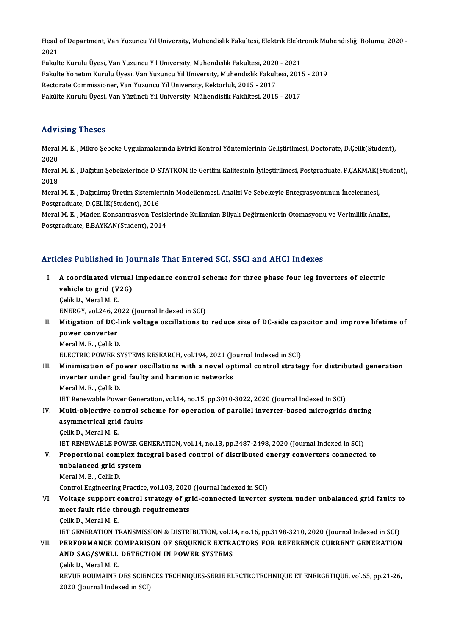Head of Department, Van Yüzüncü Yil University, Mühendislik Fakültesi, Elektrik Elektronik Mühendisliği Bölümü, 2020 -<br>2021 Head<br>2021<br>Felrik Head of Department, Van Yüzüncü Yil University, Mühendislik Fakültesi, Elektrik Elekti<br>2021<br>Fakülte Kurulu Üyesi, Van Yüzüncü Yil University, Mühendislik Fakültesi, 2020 - 2021<br>Fakülte Vänetim Kurulu Üyesi, Van Yüzüncü Yil 2021<br>Fakülte Kurulu Üyesi, Van Yüzüncü Yil University, Mühendislik Fakültesi, 2020 - 2021<br>Fakülte Yönetim Kurulu Üyesi, Van Yüzüncü Yil University, Mühendislik Fakültesi, 2015 - 2019<br>Restanste Commissionen Van Vürünsü Vil

Fakülte Kurulu Üyesi, Van Yüzüncü Yil University, Mühendislik Fakültesi, 2020<br>Fakülte Yönetim Kurulu Üyesi, Van Yüzüncü Yil University, Mühendislik Fakült<br>Rectorate Commissioner, Van Yüzüncü Yil University, Rektörlük, 2015

Fakülte Yönetim Kurulu Üyesi, Van Yüzüncü Yil University, Mühendislik Fakültesi, 201!<br>Rectorate Commissioner, Van Yüzüncü Yil University, Rektörlük, 2015 - 2017<br>Fakülte Kurulu Üyesi, Van Yüzüncü Yil University, Mühendislik Fakülte Kurulu Üyesi, Van Yüzüncü Yil University, Mühendislik Fakültesi, 2015 - 2017<br>Advising Theses

**Advising Theses**<br>Meral M. E. , Mikro Şebeke Uygulamalarında Evirici Kontrol Yöntemlerinin Geliştirilmesi, Doctorate, D.Çelik(Student),<br>2020 Meral<br>Meral<br>2020 Meral M. E. , Mikro Şebeke Uygulamalarında Evirici Kontrol Yöntemlerinin Geliştirilmesi, Doctorate, D.Çelik(Student),<br>2020<br>Meral M. E. , Dağıtım Şebekelerinde D-STATKOM ile Gerilim Kalitesinin İyileştirilmesi, Postgraduate

2020<br>Meral<br>2018<br>Meral Meral M. E. , Dağıtım Şebekelerinde D-STATKOM ile Gerilim Kalitesinin İyileştirilmesi, Postgraduate, F.ÇAKMAK(<br>2018<br>Meral M. E. , Dağıtılmış Üretim Sistemlerinin Modellenmesi, Analizi Ve Şebekeyle Entegrasyonunun İncelenme

2018<br>Meral M. E. , Dağıtılmış Üretim Sistemlerinin Modellenmesi, Analizi Ve Şebekeyle Entegrasyonunun İncelenmesi,<br>Postgraduate, D.ÇELİK(Student), 2016

Meral M. E., Maden Konsantrasyon Tesislerinde Kullanılan Bilyalı Değirmenlerin Otomasyonu ve Verimlilik Analizi, Postgraduate, E.BAYKAN(Student), 2014

## Articles Published in Journals That Entered SCI, SSCI and AHCI Indexes

- rticles Published in Journals That Entered SCI, SSCI and AHCI Indexes<br>I. A coordinated virtual impedance control scheme for three phase four leg inverters of electric<br>webiels to grid (V2C) A coordinated virtual<br>vehicle to grid (V2G)<br>Colik D. Morel M. E **A coordinated vir<br>vehicle to grid (V<br>Çelik D., Meral M. E.<br>ENEPCY vel 346-30** vehicle to grid (V2G)<br>Celik D., Meral M. E.<br>ENERGY, vol.246, 2022 (Journal Indexed in SCI) Celik D., Meral M. E.<br>ENERGY, vol.246, 2022 (Journal Indexed in SCI)<br>II. Mitigation of DC-link voltage oscillations to reduce size of DC-side capacitor and improve lifetime of<br>nover converter ENERGY, vol.246, 2<br>Mitigation of DC-<br>power converter<br>Morel M-E - Golit D
	- Mitigation of DC-li<br>power converter<br>Meral M. E. , Çelik D.<br>ELECTPLC POWED S

power converter<br>Meral M. E. , Çelik D.<br>ELECTRIC POWER SYSTEMS RESEARCH, vol.194, 2021 (Journal Indexed in SCI)

Meral M. E. , Çelik D.<br>ELECTRIC POWER SYSTEMS RESEARCH, vol.194, 2021 (Journal Indexed in SCI)<br>III. Minimisation of power oscillations with a novel optimal control strategy for distributed generation<br>investes under said fo ELECTRIC POWER SYSTEMS RESEARCH, vol.194, 2021 (Jonewinder Systems Research, vol.194, 2021 (Jonewin<br>Inverter under grid faulty and harmonic networks<br>Marel M. E. Calil: D Minimisation of po<br>inverter under gri<br>Meral M. E. , Çelik D.<br>IET Benevrable Boyu inverter under grid faulty and harmonic networks<br>Meral M. E. , Çelik D.<br>IET Renewable Power Generation, vol.14, no.15, pp.3010-3022, 2020 (Journal Indexed in SCI)<br>Multi objective control sebeme for aperation of parallel in

Meral M. E. , Çelik D.<br>IET Renewable Power Generation, vol.14, no.15, pp.3010-3022, 2020 (Journal Indexed in SCI)<br>IV. Multi-objective control scheme for operation of parallel inverter-based microgrids during<br>asymmetrical g **IET Renewable Power Gene:**<br>Multi-objective control s<br>asymmetrical grid faults<br>Celik D. Meral M. E

ÇelikD.,MeralM.E. asymmetrical grid faults<br>Çelik D., Meral M. E.<br>IET RENEWABLE POWER GENERATION, vol.14, no.13, pp.2487-2498, 2020 (Journal Indexed in SCI)<br>Prenestional semplex integral based sentrel of distributed aperay senverters senpest Celik D., Meral M. E.<br>IET RENEWABLE POWER GENERATION, vol.14, no.13, pp.2487-2498, 2020 (Journal Indexed in SCI)<br>V. Proportional complex integral based control of distributed energy converters connected to<br>unbelaneed grid

**IET RENEWABLE POWER GI<br>Proportional complex int<br>unbalanced grid system**<br>Moral M-E - Collis D Proportional comp<br>unbalanced grid s<br>Meral M.E. , Çelik D.<br>Control Engineering Meral M. E., Çelik D.<br>Control Engineering Practice, vol.103, 2020 (Journal Indexed in SCI)

Meral M. E. , Çelik D.<br>Control Engineering Practice, vol.103, 2020 (Journal Indexed in SCI)<br>VI. Voltage support control strategy of grid-connected inverter system under unbalanced grid faults to<br>meet foult ride through Control Engineering Practice, vol.103, 2020<br>Voltage support control strategy of greet fault ride through requirements **Voltage support c<br>meet fault ride th<br>Çelik D., Meral M. E.<br>IET CENERATION TI** meet fault ride through requirements<br>Çelik D., Meral M. E.<br>IET GENERATION TRANSMISSION & DISTRIBUTION, vol.14, no.16, pp.3198-3210, 2020 (Journal Indexed in SCI)<br>REREORMANCE COMPARISON OF SEQUENCE EXTRACTORS FOR REFERENCE

Celik D., Meral M. E.<br>IET GENERATION TRANSMISSION & DISTRIBUTION, vol.14, no.16, pp.3198-3210, 2020 (Journal Indexed in SCI)<br>VII. PERFORMANCE COMPARISON OF SEQUENCE EXTRACTORS FOR REFERENCE CURRENT GENERATION IET GENERATION TRANSMISSION & DISTRIBUTION, vol.1<br>PERFORMANCE COMPARISON OF SEQUENCE EXTRA<br>AND SAG/SWELL DETECTION IN POWER SYSTEMS<br>Celik D. Marel M. E **PERFORMANCE C<br>AND SAG/SWELL<br>Celik D., Meral M. E.<br>PEWIE BOUMANE I** 

AND SAG/SWELL DETECTION IN POWER SYSTEMS<br>Çelik D., Meral M. E.<br>REVUE ROUMAINE DES SCIENCES TECHNIQUES-SERIE ELECTROTECHNIQUE ET ENERGETIQUE, vol.65, pp.21-26,<br>2020 (Journal Indoxed in SCI) Çelik D., Meral M. E.<br>REVUE ROUMAINE DES SCIEN<br>2020 (Journal Indexed in SCI)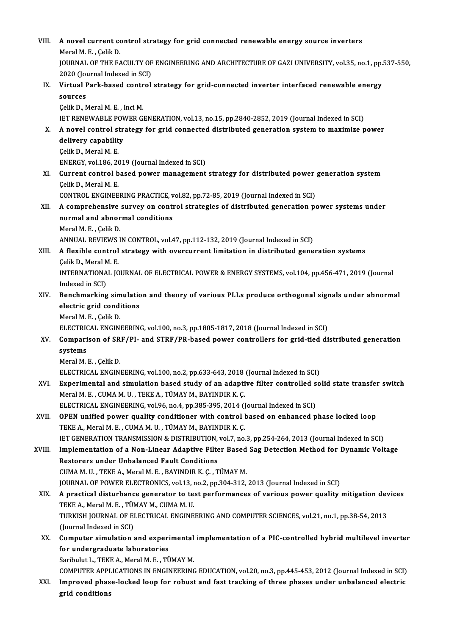| VIII.  | A novel current control strategy for grid connected renewable energy source inverters                   |
|--------|---------------------------------------------------------------------------------------------------------|
|        | Meral M. E., Çelik D.                                                                                   |
|        | JOURNAL OF THE FACULTY OF ENGINEERING AND ARCHITECTURE OF GAZI UNIVERSITY, vol.35, no.1, pp.537-550,    |
|        | 2020 (Journal Indexed in SCI)                                                                           |
| IX.    | Virtual Park-based control strategy for grid-connected inverter interfaced renewable energy             |
|        | sources                                                                                                 |
|        | Çelik D., Meral M. E., Inci M.                                                                          |
|        | IET RENEWABLE POWER GENERATION, vol.13, no.15, pp.2840-2852, 2019 (Journal Indexed in SCI)              |
| X.     | A novel control strategy for grid connected distributed generation system to maximize power             |
|        | delivery capability                                                                                     |
|        | Çelik D., Meral M. E.                                                                                   |
|        | ENERGY, vol.186, 2019 (Journal Indexed in SCI)                                                          |
| XI.    | Current control based power management strategy for distributed power generation system                 |
|        | Celik D., Meral M. E.                                                                                   |
|        | CONTROL ENGINEERING PRACTICE, vol.82, pp.72-85, 2019 (Journal Indexed in SCI)                           |
| XII.   | A comprehensive survey on control strategies of distributed generation power systems under              |
|        | normal and abnormal conditions                                                                          |
|        | Meral M. E., Çelik D.                                                                                   |
|        | ANNUAL REVIEWS IN CONTROL, vol.47, pp.112-132, 2019 (Journal Indexed in SCI)                            |
| XIII.  | A flexible control strategy with overcurrent limitation in distributed generation systems               |
|        | Çelik D., Meral M. E.                                                                                   |
|        | INTERNATIONAL JOURNAL OF ELECTRICAL POWER & ENERGY SYSTEMS, vol.104, pp.456-471, 2019 (Journal          |
|        | Indexed in SCI)                                                                                         |
| XIV.   | Benchmarking simulation and theory of various PLLs produce orthogonal signals under abnormal            |
|        | electric grid conditions                                                                                |
|        | Meral M. E., Çelik D.                                                                                   |
|        | ELECTRICAL ENGINEERING, vol.100, no.3, pp.1805-1817, 2018 (Journal Indexed in SCI)                      |
| XV.    | Comparison of SRF/PI- and STRF/PR-based power controllers for grid-tied distributed generation          |
|        | systems                                                                                                 |
|        | Meral M. E., Çelik D.                                                                                   |
|        | ELECTRICAL ENGINEERING, vol.100, no.2, pp.633-643, 2018 (Journal Indexed in SCI)                        |
| XVI.   | Experimental and simulation based study of an adaptive filter controlled solid state transfer switch    |
|        | Meral M. E., CUMA M. U., TEKE A., TÜMAY M., BAYINDIR K. Ç.                                              |
|        | ELECTRICAL ENGINEERING, vol.96, no.4, pp.385-395, 2014 (Journal Indexed in SCI)                         |
| XVII.  | OPEN unified power quality conditioner with control based on enhanced phase locked loop                 |
|        | TEKE A., Meral M. E., CUMA M. U., TÜMAY M., BAYINDIR K. Ç.                                              |
|        | IET GENERATION TRANSMISSION & DISTRIBUTION, vol.7, no.3, pp.254-264, 2013 (Journal Indexed in SCI)      |
| XVIII. | Implementation of a Non-Linear Adaptive Filter Based Sag Detection Method for Dynamic Voltage           |
|        | <b>Restorers under Unbalanced Fault Conditions</b>                                                      |
|        | CUMA M.U., TEKE A., Meral M.E., BAYINDIR K.C., TÜMAY M.                                                 |
|        | JOURNAL OF POWER ELECTRONICS, vol.13, no.2, pp.304-312, 2013 (Journal Indexed in SCI)                   |
| XIX.   | A practical disturbance generator to test performances of various power quality mitigation devices      |
|        | TEKE A., Meral M. E., TÜMAY M., CUMA M. U.                                                              |
|        | TURKISH JOURNAL OF ELECTRICAL ENGINEERING AND COMPUTER SCIENCES, vol.21, no.1, pp.38-54, 2013           |
|        | (Journal Indexed in SCI)                                                                                |
| XX.    | Computer simulation and experimental implementation of a PIC-controlled hybrid multilevel inverter      |
|        | for undergraduate laboratories<br>Saribulut L., TEKE A., Meral M. E., TÜMAY M.                          |
|        | COMPUTER APPLICATIONS IN ENGINEERING EDUCATION, vol.20, no.3, pp.445-453, 2012 (Journal Indexed in SCI) |
| XXI.   | Improved phase-locked loop for robust and fast tracking of three phases under unbalanced electric       |
|        | grid conditions                                                                                         |
|        |                                                                                                         |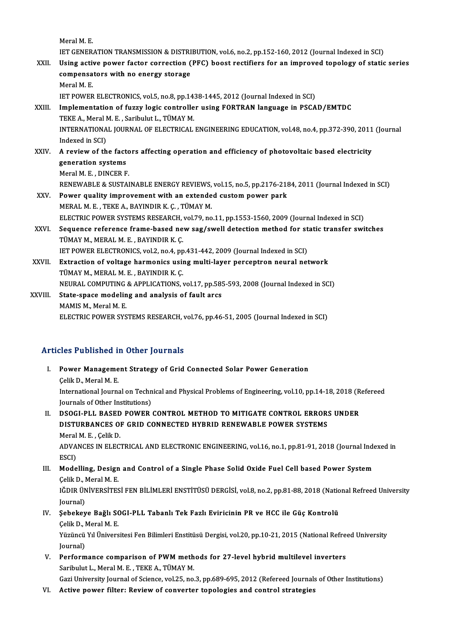Meral M<sub>E</sub> Meral M. E.<br>IET GENERATION TRANSMISSION & DISTRIBUTION, vol.6, no.2, pp.152-160, 2012 (Journal Indexed in SCI)<br>Heing estive nower fester servestion (PEC) beest restifiers for an improved tenelogy of statio Meral M. E.<br>IET GENERATION TRANSMISSION & DISTRIBUTION, vol.6, no.2, pp.152-160, 2012 (Journal Indexed in SCI)<br>XXII. Using active power factor correction (PFC) boost rectifiers for an improved topology of static series<br>com IET GENERATION TRANSMISSION & DISTRI<br>Using active power factor correction (<br>compensators with no energy storage<br>Morel M-E Using active power factor correction (PFC) boost rectifiers for an improved topology of static series compensators with no energy storage<br>Meral M. E. IET POWER ELECTRONICS, vol.5, no.8, pp.1438-1445, 2012 (Journal Indexed in SCI) Meral M. E.<br>IET POWER ELECTRONICS, vol.5, no.8, pp.1438-1445, 2012 (Journal Indexed in SCI)<br>XXIII. Implementation of fuzzy logic controller using FORTRAN language in PSCAD/EMTDC<br>TEKE A. Maral M. E. Saribulut J. TÜMAY M **IET POWER ELECTRONICS, vol.5, no.8, pp.14:**<br>**Implementation of fuzzy logic controlle**<br>TEKE A., Meral M. E. , Saribulut L., TÜMAY M.<br>INTERNATIONAL JOURNAL OF ELECTRICAL Implementation of fuzzy logic controller using FORTRAN language in PSCAD/EMTDC<br>TEKE A., Meral M. E. , Saribulut L., TÜMAY M.<br>INTERNATIONAL JOURNAL OF ELECTRICAL ENGINEERING EDUCATION, vol.48, no.4, pp.372-390, 2011 (Journa TEKE A., Meral I<br>INTERNATIONA<br>Indexed in SCI)<br>A review of th INTERNATIONAL JOURNAL OF ELECTRICAL ENGINEERING EDUCATION, vol.48, no.4, pp.372-390, 2011<br>Indexed in SCI)<br>XXIV. A review of the factors affecting operation and efficiency of photovoltaic based electricity Indexed in SCI)<br>A review of the fact<br>generation systems<br>Morel M E - DINCEP E **A review of the facto<br>generation systems<br>Meral M. E., DINCER F.<br>PENEWAPLE & SUSTAI** generation systems<br>Meral M. E. , DINCER F.<br>RENEWABLE & SUSTAINABLE ENERGY REVIEWS, vol.15, no.5, pp.2176-2184, 2011 (Journal Indexed in SCI)<br>Rewer quality improvement with an extended system power park Meral M. E., DINCER F.<br>RENEWABLE & SUSTAINABLE ENERGY REVIEWS, vol.15, no.5, pp.2176-211<br>XXV. Power quality improvement with an extended custom power park<br>MERAL M. E., TEKE A., BAYINDIR K. C., TÜMAY M. RENEWABLE & SUSTAINABLE ENERGY REVIEWS,<br>Power quality improvement with an extende<br>MERAL M. E., TEKE A., BAYINDIR K. Ç., TÜMAY M.<br>ELECTRIC POWER SYSTEMS RESEARCH VAL79, DO Power quality improvement with an extended custom power park<br>MERAL M. E. , TEKE A., BAYINDIR K. Ç. , TÜMAY M.<br>ELECTRIC POWER SYSTEMS RESEARCH, vol.79, no.11, pp.1553-1560, 2009 (Journal Indexed in SCI)<br>Seguence reference f XXVI. Sequence reference frame-based new sag/swell detection method for static transfer switches<br>TÜMAY M., MERAL M. E., BAYINDIR K. C. ELECTRIC POWER SYSTEMS RESEARCH,<br>Sequence reference frame-based ne<br>TÜMAY M., MERAL M. E. , BAYINDIR K. Ç.<br>JET POWER ELECTRONICS xel 2, ne.4, ne Sequence reference frame-based new sag/swell detection method for st<br>TÜMAY M., MERAL M. E. , BAYINDIR K. Ç.<br>IET POWER ELECTRONICS, vol.2, no.4, pp.431-442, 2009 (Journal Indexed in SCI)<br>Extraction of voltage benmenics usin XXVII. Extraction of voltage harmonics using multi-layer perceptron neural network<br>TÜMAY M., MERAL M. E., BAYINDIR K. C. THE POWER ELECTRONICS, vol.2, no.4, pp<br>Extraction of voltage harmonics usin<br>TÜMAY M., MERAL M. E. , BAYINDIR K. Ç.<br>NEUPAL COMPUTING & APPLICATIONS Extraction of voltage harmonics using multi-layer perceptron neural network<br>TÜMAY M., MERAL M. E. , BAYINDIR K. Ç.<br>NEURAL COMPUTING & APPLICATIONS, vol.17, pp.585-593, 2008 (Journal Indexed in SCI)<br>State space modeling and XXVIII. State-space modeling and analysis of fault arcs<br>MAMIS M., Meral M. E. NEURAL COMPUTING<br>State-space modelin<br>MAMIS M., Meral M. E.<br>ELECTRIC POWER SYS ELECTRIC POWER SYSTEMS RESEARCH, vol.76, pp.46-51, 2005 (Journal Indexed in SCI)

## Articles Published in Other Journals

rticles Published in Other Journals<br>I. Power Management Strategy of Grid Connected Solar Power Generation<br>Colik D. Maral M. E Power Manageme<br>Power Manageme<br>Celik D., Meral M. E.<br>International Iourne Power Management Strategy of Grid Connected Solar Power Generation<br>Çelik D., Meral M. E.<br>International Journal on Technical and Physical Problems of Engineering, vol.10, pp.14-18, 2018 (Refereed<br>Journals of Other Instituti **Celik D., Meral M. E.<br>International Journal on Techn<br>Journals of Other Institutions)<br>DSOCL BLL BASED DOWED** Journals of Other Institutions)<br>II. DSOGI-PLL BASED POWER CONTROL METHOD TO MITIGATE CONTROL ERRORS UNDER

Journals of Other Institutions)<br>DSOGI-PLL BASED POWER CONTROL METHOD TO MITIGATE CONTROL ERROR:<br>DISTURBANCES OF GRID CONNECTED HYBRID RENEWABLE POWER SYSTEMS<br>Maral M. E. Calik D. **DSOGI-PLL BASED<br>DISTURBANCES OF<br>Meral M. E. , Çelik D.<br>ADVANCES IN EL EC.** DISTURBANCES OF GRID CONNECTED HYBRID RENEWABLE POWER SYSTEMS<br>Meral M. E. , Çelik D.<br>ADVANCES IN ELECTRICAL AND ELECTRONIC ENGINEERING, vol.16, no.1, pp.81-91, 2018 (Journal Indexed in<br>ESCD Meral<br>ADVA<br>ESCI)<br>Mode ADVANCES IN ELECTRICAL AND ELECTRONIC ENGINEERING, vol.16, no.1, pp.81-91, 2018 (Journal Inde ESCI)<br>III. Modelling, Design and Control of a Single Phase Solid Oxide Fuel Cell based Power System<br>Celik D. Marel M. E

ESCI)<br>Modelling, Design<br>Çelik D., Meral M. E.<br>IĞDIP ÜNİVERSİTES Modelling, Design and Control of a Single Phase Solid Oxide Fuel Cell based Power System<br>Çelik D., Meral M. E.<br>IĞDIR ÜNİVERSİTESİ FEN BİLİMLERİ ENSTİTÜSÜ DERGİSİ, vol.8, no.2, pp.81-88, 2018 (National Refreed University<br>Jo Çelik D., l<br>IĞDIR ÜN<br>Journal)<br>Sebekev

## IĞDIR ÜNİVERSİTESİ FEN BİLİMLERİ ENSTİTÜSÜ DERGİSİ, vol.8, no.2, pp.81-88, 2018 (Natio<br>Journal)<br>IV. Şebekeye Bağlı SOGI-PLL Tabanlı Tek Fazlı Eviricinin PR ve HCC ile Güç Kontrolü<br>Celik D. Maral M. E Journal)<br><mark>Şebekeye Bağlı S(</mark><br>Çelik D., Meral M. E.<br><sup>Vürüngü Vıl Ünivora</sup> Celik D., Meral M. E.

Yüzüncü Yıl Üniversitesi Fen Bilimleri Enstitüsü Dergisi, vol.20, pp.10-21, 2015 (National Refreed University<br>Journal)

V. Performance comparison of PWM methods for 27-level hybrid multilevel inverters Saribulut L., Meral M. E., TEKE A., TÜMAY M. Performance comparison of PWM methods for 27-level hybrid multilevel inverters<br>Saribulut L., Meral M. E. , TEKE A., TÜMAY M.<br>Gazi University Journal of Science, vol.25, no.3, pp.689-695, 2012 (Refereed Journals of Other In Saribulut L., Meral M. E. , TEKE A., TÜMAY M.<br>Gazi University Journal of Science, vol.25, no.3, pp.689-695, 2012 (Refereed Journal:<br>VI. Active power filter: Review of converter topologies and control strategies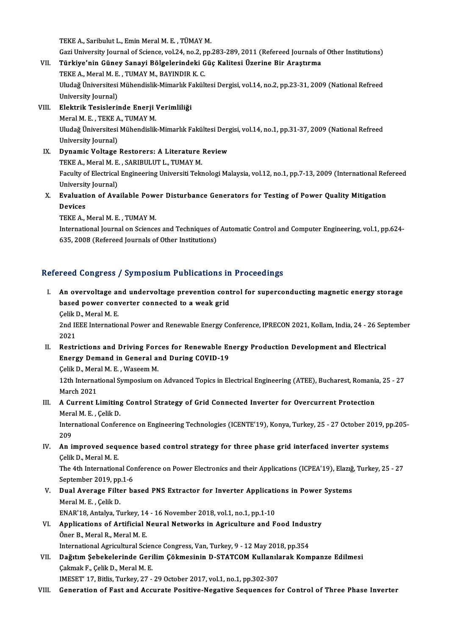TEKE A., Saribulut L., Emin Meral M. E., TÜMAY M.

TEKE A., Saribulut L., Emin Meral M. E. , TÜMAY M.<br>Gazi University Journal of Science, vol.24, no.2, pp.283-289, 2011 (Refereed Journals of Other Institutions)<br>Türkiye'nin Güney Sanavi Bölgelerindeki Güe Kalitesi Üzerine B

- TEKE A., Saribulut L., Emin Meral M. E. , TÜMAY M.<br>Gazi University Journal of Science, vol.24, no.2, pp.283-289, 2011 (Refereed Journals o<br>VII. Türkiye'nin Güney Sanayi Bölgelerindeki Güç Kalitesi Üzerine Bir Araştırma Gazi University Journal of Science, vol.24, no.2, p<br>Türkiye'nin Güney Sanayi Bölgelerindeki G<br>TEKE A., Meral M. E. , TUMAY M., BAYINDIR K. C.<br>Uludeğ Üniversitesi Mühandislik Mimarlık Fakült Türkiye'nin Güney Sanayi Bölgelerindeki Güç Kalitesi Üzerine Bir Araştırma<br>TEKE A., Meral M. E. , TUMAY M., BAYINDIR K. C.<br>Uludağ Üniversitesi Mühendislik-Mimarlık Fakültesi Dergisi, vol.14, no.2, pp.23-31, 2009 (National TEKE A., Meral M. E., TUMAY M., BAYINDIR K. C. Vludağ Üniversitesi Mühendislik-Mimarlık F<br>University Journal)<br>VIII. Elektrik Tesislerinde Enerji Verimliliği<br>Moral M E TEKE A TUMAY M
- University Journal)<br><mark>Elektrik Tesislerinde Enerji</mark><br>Meral M. E. , TEKE A., TUMAY M.<br>Uludağ Üniversitesi Mühandislik El<mark>ektrik Tesislerinde Enerji Verimliliği</mark><br>Meral M. E. , TEKE A., TUMAY M.<br>Uludağ Üniversitesi Mühendislik-Mimarlık Fakültesi Dergisi, vol.14, no.1, pp.31-37, 2009 (National Refreed<br>University Journal) Meral M. E. , TEKE A<br>Uludağ Üniversitesi<br>University Journal)<br>Dunamia Veltage Uludağ Üniversitesi Mühendislik-Mimarlık Fakültesi Derg<br>University Journal)<br>IX. Dynamic Voltage Restorers: A Literature Review<br>TEVE A Morel M E SARIBULUT L TIMAV M
- University Journal)<br>Dynamic Voltage Restorers: A Literature<br>TEKE A., Meral M. E. , SARIBULUT L., TUMAY M.<br>Foculty of Electrical Engineering Universiti Telr TEKE A., Meral M. E. , SARIBULUT L., TUMAY M.<br>Faculty of Electrical Engineering Universiti Teknologi Malaysia, vol.12, no.1, pp.7-13, 2009 (International Refereed TEKE A., Meral M. E.<br>Faculty of Electrical<br>University Journal)<br>Evaluation of Ava Faculty of Electrical Engineering Universiti Teknologi Malaysia, vol.12, no.1, pp.7-13, 2009 (International Ref<br>University Journal)<br>X. Evaluation of Available Power Disturbance Generators for Testing of Power Quality Mitig
- Universit<br><mark>Evaluati</mark><br>Devices<br>TEVE A Evaluation of Available Powe<br>Devices<br>TEKE A., Meral M. E. , TUMAY M.<br>International Journal on Science

Devices<br>TEKE A., Meral M. E. , TUMAY M.<br>International Journal on Sciences and Techniques of Automatic Control and Computer Engineering, vol.1, pp.624-<br>625, 2008 (Refereed Journals of Other Institutions) TEKE A., Meral M. E. , TUMAY M.<br>International Journal on Sciences and Techniques of<br>635, 2008 (Refereed Journals of Other Institutions)

# 635, 2008 (Refereed Journals of Other Institutions)<br>Refereed Congress / Symposium Publications in Proceedings

efereed Congress / Symposium Publications in Proceedings<br>I. An overvoltage and undervoltage prevention control for superconducting magnetic energy storage<br>hased newer converter connected to a weak grid based power converter connected to a weak grid<br>based power converter connected to a weak grid<br>Calik D. Maral M. E An overvoltage al<br>based power conv<br>Çelik D., Meral M. E.<br>2nd IEEE Internatio based power converter connected to a weak grid<br>Çelik D., Meral M. E.<br>2nd IEEE International Power and Renewable Energy Conference, IPRECON 2021, Kollam, India, 24 - 26 September<br>2021

Celik I<br>2nd I<mark>I</mark><br>2021<br>Bostr 2nd IEEE International Power and Renewable Energy Conference, IPRECON 2021, Kollam, India, 24 - 26 Sep<br>2021<br>II. Restrictions and Driving Forces for Renewable Energy Production Development and Electrical<br>Franzy Damand in Ca

- 2021<br>Restrictions and Driving Forces for Renewable Er<br>Energy Demand in General and During COVID-19<br>Celik D. Marel M. E. Wassem M Restrictions and Driving Fore<br>Energy Demand in General an<br>Çelik D., Meral M. E. , Waseem M.<br>12th International Sumnosium at
	- Celik D., Meral M. E., Waseem M.

12th International Symposium on Advanced Topics in Electrical Engineering (ATEE), Bucharest, Romania, 25 - 27<br>March 2021 12th International Symposium on Advanced Topics in Electrical Engineering (ATEE), Bucharest, Romani:<br>March 2021<br>III. A Current Limiting Control Strategy of Grid Connected Inverter for Overcurrent Protection<br>March M. E. Cal

March 2021<br>**A Current Limiting<br>Meral M. E. , Çelik D.<br>International Confon** A Current Limiting Control Strategy of Grid Connected Inverter for Overcurrent Protection<br>Meral M. E. , Çelik D.<br>International Conference on Engineering Technologies (ICENTE'19), Konya, Turkey, 25 - 27 October 2019, pp.205

Mera<br>Inter<br>209 International Conference on Engineering Technologies (ICENTE'19), Konya, Turkey, 25 - 27 October 2019, p<br>209<br>IV. An improved sequence based control strategy for three phase grid interfaced inverter systems<br>Colik D. Maral M

209<br>IV. An improved sequence based control strategy for three phase grid interfaced inverter systems<br>Celik D., Meral M. E. An improved sequence based control strategy for three phase grid interfaced inverter systems<br>Celik D., Meral M. E.<br>The 4th International Conference on Power Electronics and their Applications (ICPEA'19), Elazığ, Turkey, 25

Celik D., Meral M. E.<br>The 4th International Contractional Contraction<br>September 2019, pp.1-6<br>Dual Avernace Eilton be The 4th International Conference on Power Electronics and their Applications (ICPEA'19), Elazig<br>September 2019, pp.1-6<br>V. Dual Average Filter based PNS Extractor for Inverter Applications in Power Systems<br>Marel M.E. Colik

September 2019, pp<br>Dual Average Filte<br>Meral M. E. , Çelik D.<br>ENAP'19, Antalya Tr Dual Average Filter based PNS Extractor for Inverter Applicati<br>Meral M. E. , Çelik D.<br>ENAR'18, Antalya, Turkey, 14 - 16 November 2018, vol.1, no.1, pp.1-10<br>Annligations of Antificial Nouvel Notworks in Agriculture and E

- Meral M. E. , Çelik D.<br>ENAR'18, Antalya, Turkey, 14 16 November 2018, vol.1, no.1, pp.1-10<br>VI. Applications of Artificial Neural Networks in Agriculture and Food Industry<br>Önen B. Marel B. Marel M. E ENAR'18, Antalya, Turkey, 14 - 16 November 2018, vol.1, no.1, pp.1-10<br>Applications of Artificial Neural Networks in Agriculture and F<br>Öner B., Meral R., Meral M. E. Applications of Artificial Neural Networks in Agriculture and Food Indus<br>Öner B., Meral R., Meral M. E.<br>International Agricultural Science Congress, Van, Turkey, 9 - 12 May 2018, pp.354<br>Değitim Sobokolarında Carilim Cölime Öner B., Meral R., Meral M. E.<br>International Agricultural Science Congress, Van, Turkey, 9 - 12 May 2018, pp.354<br>VII. Dağıtım Şebekelerinde Gerilim Çökmesinin D-STATCOM Kullanılarak Kompanze Edilmesi<br>Colmak E. Colik D.
- International Agricultural Science Congress, Van, Turkey, 9 12 May 2018, pp.354<br>Dağıtım Şebekelerinde Gerilim Çökmesinin D-STATCOM Kullanılarak Kom<br>Çakmak F., Çelik D., Meral M. E.<br>IMESET' 17, Bitlis, Turkey, 27 29 Oct Dağıtım Şebekelerinde Gerilim Çökmesinin D-STATCOM Kullanıla<br>Çakmak F., Çelik D., Meral M. E.<br>IMESET' 17, Bitlis, Turkey, 27 - 29 October 2017, vol.1, no.1, pp.302-307<br>Cononation of Fost and Assumate Positive Negative Sequ
- VIII. Generation of Fast and Accurate Positive-Negative Sequences for Control of Three Phase Inverter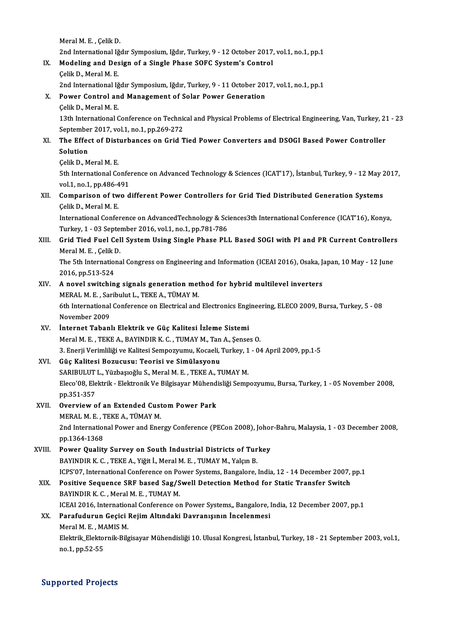MeralM.E. ,ÇelikD. Meral M. E. , Çelik D.<br>2nd International Iğdır Symposium, Iğdır, Turkey, 9 - 12 October 2017, vol.1, no.1, pp.1<br>Medeling and Design of a Single Phase SOEC System's Control Meral M. E. , Çelik D.<br>2nd International Iğdır Symposium, Iğdır, Turkey, 9 - 12 October 2017<br>IX. Modeling and Design of a Single Phase SOFC System's Control<br>Colik D. Marel M. E IX. Modeling and Design of a Single Phase SOFC System's Control<br>Celik D., Meral M. E. Modeling and Design of a Single Phase SOFC System's Control<br>Celik D., Meral M. E.<br>2nd International Iğdır Symposium, Iğdır, Turkey, 9 - 11 October 2017, vol.1, no.1, pp.1<br>Bower Control and Management of Solar Bower Concrat X. Power Control and Management of Solar Power Generation 2nd International Iğ<br>**Power Control an**<br>Çelik D., Meral M. E.<br>1<sup>2th</sup> International C Power Control and Management of Solar Power Generation<br>Çelik D., Meral M. E.<br>13th International Conference on Technical and Physical Problems of Electrical Engineering, Van, Turkey, 21 - 23<br>September 2017, val 1, no 1, np Celik D., Meral M. E.<br>13th International Conference on Technic<br>September 2017, vol.1, no.1, pp.269-272<br>The Effect of Disturbances on Crid T 13th International Conference on Technical and Physical Problems of Electrical Engineering, Van, Turkey, 2:<br>September 2017, vol.1, no.1, pp.269-272<br>XI. The Effect of Disturbances on Grid Tied Power Converters and DSOGI Bas Septembe<br>The Effec<br>Solution<br>Colik D. M The Effect of Dist<br>Solution<br>Çelik D., Meral M. E.<br>Eth International Co Solution<br>Çelik D., Meral M. E.<br>5th International Conference on Advanced Technology & Sciences (ICAT'17), İstanbul, Turkey, 9 - 12 May 2017, Celik D., Meral M. E.<br>5th International Confer<br>vol.1, no.1, pp.486-491<br>Comnanison of two d XII. Comparison of two different Power Controllers for Grid Tied Distributed Generation Systems<br>Celik D., Meral M. E. vol.1, no.1, pp.486-4<br>**Comparison of tw.<br>Celik D., Meral M. E.**<br>International Confor Comparison of two different Power Controllers for Grid Tied Distributed Generation Systems<br>Celik D., Meral M. E.<br>International Conference on AdvancedTechnology & Sciences3th International Conference (ICAT'16), Konya,<br>Turke Celik D., Meral M. E.<br>International Conference on AdvancedTechnology & Sci<br>Turkey, 1 - 03 September 2016, vol.1, no.1, pp.781-786<br>Crid Tied Euel Cell System Heing Single Phase PLI International Conference on AdvancedTechnology & Sciences3th International Conference (ICAT'16), Konya,<br>Turkey, 1 - 03 September 2016, vol.1, no.1, pp.781-786<br>XIII. Grid Tied Fuel Cell System Using Single Phase PLL Based S Turkey, 1 - 03 Septer<br>Grid Tied Fuel Cel<br>Meral M. E. , Çelik D.<br>The Eth Internations Grid Tied Fuel Cell System Using Single Phase PLL Based SOGI with PI and PR Current Controller:<br>Meral M. E. , Çelik D.<br>The 5th International Congress on Engineering and Information (ICEAI 2016), Osaka, Japan, 10 May - 12 J Meral M. E. , Çelik D.<br>The 5th International Congress on Engineering and Information (ICEAI 2016), Osaka, Japan, 10 May - 12 June<br>2016, pp.513-524 The 5th International Congress on Engineering and Information (ICEAI 2016), Osaka, J<br>2016, pp.513-524<br>XIV. A novel switching signals generation method for hybrid multilevel inverters<br>MERAL M.E. Soribulut L. TEKE A TUMAY M 2016, pp.513-524<br>A novel switching signals generation met<br>MERAL M. E. , Saribulut L., TEKE A., TÜMAY M.<br>6th International Conference on Flectrical and 6th International Conference on Electrical and Electronics Engineering, ELECO 2009, Bursa, Turkey, 5 - 08<br>November 2009 MERAL M. E., Saribulut L., TEKE A., TÜMAY M. XV. İnternet Tabanlı Elektrik ve Güç Kalitesi İzleme Sistemi Meral M. E., TEKE A., BAYINDIR K. C., TUMAY M., Tan A., Şenses O. İnternet Tabanlı Elektrik ve Güç Kalitesi İzleme Sistemi<br>Meral M. E. , TEKE A., BAYINDIR K. C. , TUMAY M., Tan A., Şenses O.<br>3. Enerji Verimliliği ve Kalitesi Sempozyumu, Kocaeli, Turkey, 1 - 04 April 2009, pp.1-5<br>Güç Kali XVI. Güç Kalitesi Bozucusu: Teorisi ve Simülasyonu 3. Enerji Verimliliği ve Kalitesi Sempozyumu, Kocaeli, Turkey, 1<br>Güç Kalitesi Bozucusu: Teorisi ve Simülasyonu<br>SARIBULUT L., Yüzbaşıoğlu S., Meral M. E. , TEKE A., TUMAY M.<br>Flasa'08. Flaktrik., Flaktranik Ve Bilgisayar Müh Güç Kalitesi Bozucusu: Teorisi ve Simülasyonu<br>SARIBULUT L., Yüzbaşıoğlu S., Meral M. E. , TEKE A., TUMAY M.<br>Eleco'08, Elektrik - Elektronik Ve Bilgisayar Mühendisliği Sempozyumu, Bursa, Turkey, 1 - 05 November 2008,<br>nn 251 SARIBULUT<br>Eleco'08, Ele<br>pp.351-357<br>Overview Eleco'08, Elektrik - Elektronik Ve Bilgisayar Mühend<br>pp.351-357<br>XVII. Overview of an Extended Custom Power Park<br>MERAL M.E., TEVE A. TÜMAY M pp.351-357<br><mark>Overview of an Extended Cust</mark><br>MERAL M. E. , TEKE A., TÜMAY M.<br>2nd International Power and Ener 2011. Overview of an Extended Custom Power Park<br>MERAL M. E. , TEKE A., TÜMAY M.<br>2nd International Power and Energy Conference (PECon 2008), Johor-Bahru, Malaysia, 1 - 03 December 2008,<br>pp.1364-1368 MERAL M. E., 7<br>2nd Internation<br>pp.1364-1368<br>Bower Quality 2nd International Power and Energy Conference (PECon 2008), Johon<br>pp.1364-1368<br>XVIII. Power Quality Survey on South Industrial Districts of Turkey<br>payINDIP V.C. TEVE A Viğit I. Maral M.E. TUMAY M. Valsın P. pp.1364-1368<br>Power Quality Survey on South Industrial Districts of Tur<br>BAYINDIR K. C. , TEKE A., Yiğit İ., Meral M. E. , TUMAY M., Yalçın B.<br>ICBS'07, International Conference en Bouer Systems, Bangalere BAYINDIR K. C. , TEKE A., Yiğit İ., Meral M. E. , TUMAY M., Yalçın B.<br>ICPS'07, International Conference on Power Systems, Bangalore, India, 12 - 14 December 2007, pp.1 BAYINDIR K. C. , TEKE A., Yiğit İ., Meral M. E. , TUMAY M., Yalçın B.<br>ICPS'07, International Conference on Power Systems, Bangalore, India, 12 - 14 December 2007,<br>XIX. Positive Sequence SRF based Sag/Swell Detection Method ICPS'07, International Conference on Po<br>Positive Sequence SRF based Sag/S<br>BAYINDIR K. C. , Meral M. E. , TUMAY M.<br>ICEAL2016, International Conference on Positive Sequence SRF based Sag/Swell Detection Method for Static Transfer Switch<br>BAYINDIR K. C. , Meral M. E. , TUMAY M.<br>ICEAI 2016, International Conference on Power Systems,, Bangalore, India, 12 December 2007, pp.1<br>Par BAYINDIR K. C. , Meral M. E. , TUMAY M.<br>ICEAI 2016, International Conference on Power Systems,, Bangalore, I<br>XX. Parafudurun Geçici Rejim Altındaki Davranışının İncelenmesi<br>Marel M. E. MAMIS M. ICEAI 2016, Internation<br>Parafudurun Geçici<br>Meral M. E. , MAMIS M.<br>Flaktnik Flaktornik Bile Parafudurun Geçici Rejim Altındaki Davranışının İncelenmesi<br>Meral M. E. , MAMIS M.<br>Elektrik\_Elektornik-Bilgisayar Mühendisliği 10. Ulusal Kongresi, İstanbul, Turkey, 18 - 21 September 2003, vol.1,<br>ne 1 nn 52 55 Meral M. E. , M*l*<br>Elektrik\_Elekto<br>no.1, pp.52-55

## no.1, pp.52-55<br>Supported Projects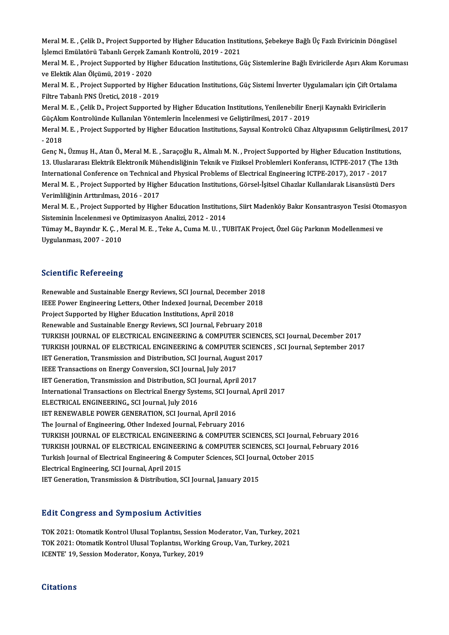Meral M. E. , Çelik D., Project Supported by Higher Education Institutions, Şebekeye Bağlı Üç Fazlı Eviricinin Döngüsel<br>İslamai Emülatörü Tabanlı Caraslı Zamanlı Kantralü, 2019, ...2021 Meral M. E. , Çelik D., Project Supported by Higher Education Instit<br>İşlemci Emülatörü Tabanlı Gerçek Zamanlı Kontrolü, 2019 - 2021<br>Meral M. E., Project Supported bu Higher Education Institutions C Meral M. E. , Çelik D., Project Supported by Higher Education Institutions, Şebekeye Bağlı Üç Fazlı Eviricinin Döngüsel<br>İşlemci Emülatörü Tabanlı Gerçek Zamanlı Kontrolü, 2019 - 2021<br>Meral M. E. , Project Supported by High

İşlemci Emülatörü Tabanlı Gerçek Zamanlı Kontrolü, 2019 - 2021<br>Meral M. E. , Project Supported by Higher Education Institutions, Güç Sistemlerine Bağlı Eviricilerde Aşırı Akım Koruması<br>ve Elektik Alan Ölçümü, 2019 - 2020 Meral M. E. , Project Supported by Higher Education Institutions, Güç Sistemlerine Bağlı Eviricilerde Aşırı Akım Korum<br>ve Elektik Alan Ölçümü, 2019 - 2020<br>Meral M. E. , Project Supported by Higher Education Institutions, G

ve Elektik Alan Ölçümü, 2019 - 2020<br>Meral M. E. , Project Supported by High<br>Filtre Tabanlı PNS Üretici, 2018 - 2019<br>Meral M. E., Celik D. Project Supported Meral M. E. , Project Supported by Higher Education Institutions, Güç Sistemi İnverter Uygulamaları için Çift Ortala<br>Filtre Tabanlı PNS Üretici, 2018 - 2019<br>Meral M. E. , Çelik D., Project Supported by Higher Education Ins

Filtre Tabanlı PNS Üretici, 2018 - 2019<br>Meral M. E. , Çelik D., Project Supported by Higher Education Institutions, Yenilenebilir En<br>GüçAkım Kontrolünde Kullanılan Yöntemlerin İncelenmesi ve Geliştirilmesi, 2017 - 2019<br>Mer Meral M. E. , Çelik D., Project Supported by Higher Education Institutions, Yenilenebilir Enerji Kaynaklı Eviricilerin<br>GüçAkım Kontrolünde Kullanılan Yöntemlerin İncelenmesi ve Geliştirilmesi, 2017 - 2019<br>Meral M. E. , Pro

GüçAkım Kontrolünde Kullanılan Yöntemlerin İncelenmesi ve Geliştirilmesi, 2017 - 2019<br>Meral M. E. , Project Supported by Higher Education Institutions, Sayısal Kontrolcü Cihaz Altyapısının Geliştirilmesi, 2017<br>- 2018 Meral M. E. , Project Supported by Higher Education Institutions, Sayısal Kontrolcü Cihaz Altyapısının Geliştirilmesi, 201<br>- 2018<br>Genç N., Üzmuş H., Atan Ö., Meral M. E. , Saraçoğlu R., Almalı M. N. , Project Supported by

- 2018<br>Genç N., Üzmuş H., Atan Ö., Meral M. E. , Saraçoğlu R., Almalı M. N. , Project Supported by Higher Education Institutions,<br>13. Uluslararası Elektrik Elektronik Mühendisliğinin Teknik ve Fiziksel Problemleri Konferan Genç N., Üzmuş H., Atan Ö., Meral M. E. , Saraçoğlu R., Almalı M. N. , Project Supported by Higher Education Instituti<br>13. Uluslararası Elektrik Elektronik Mühendisliğinin Teknik ve Fiziksel Problemleri Konferansı, ICTPE-2 13. Uluslararası Elektrik Elektronik Mühendisliğinin Teknik ve Fiziksel Problemleri Konferansı, ICTPE-2017 (The 13th<br>International Conference on Technical and Physical Problems of Electrical Engineering ICTPE-2017), 2017 -International Conference on Technical<br>Meral M. E. , Project Supported by High<br>Verimliliğinin Arttırılması, 2016 - 2017<br>Meral M. E., Project Supported by High Meral M. E. , Project Supported by Higher Education Institutions, Görsel-İşitsel Cihazlar Kullanılarak Lisansüstü Ders<br>Verimliliğinin Arttırılması, 2016 - 2017<br>Meral M. E. , Project Supported by Higher Education Institutio

Verimliliğinin Arttırılması, 2016 - 2017<br>Meral M. E. , Project Supported by Higher Education Institutio<br>Sisteminin İncelenmesi ve Optimizasyon Analizi, 2012 - 2014<br>Tümov M. Boyndur K. G. Moral M. E. Teke A. Guma M. U. Tl Meral M. E. , Project Supported by Higher Education Institutions, Siirt Madenköy Bakır Konsantrasyon Tesisi Otor<br>Sisteminin İncelenmesi ve Optimizasyon Analizi, 2012 - 2014<br>Tümay M., Bayındır K. Ç. , Meral M. E. , Teke A.,

Sisteminin İncelenmesi ve Optimizasyon Analizi, 2012 - 2014<br>Tümay M., Bayındır K. Ç. , Meral M. E. , Teke A., Cuma M. U. , TUBITAK Project, Özel Güç Parkının Modellenmesi ve<br>Uygulanması, 2007 - 2010

#### **Scientific Refereeing**

Scientific Refereeing<br>Renewable and Sustainable Energy Reviews, SCI Journal, December 2018<br>JEEE Rougs Engineering Letters, Other Indexed Journal, December 2018 Betemente Tietet Benry<br>IEEE Power Engineering Letters, Other Indexed Journal, December 2018<br>IEEE Power Engineering Letters, Other Indexed Journal, December 2018<br>Project Sunnerted by Higher Education Institutions, April 201 IEEE Power Engineering Letters, Other Indexed Journal, December 2018<br>Project Supported by Higher Education Institutions, April 2018 Renewable and Sustainable Energy Reviews, SCI Journal, February 2018 Project Supported by Higher Education Institutions, April 2018<br>Renewable and Sustainable Energy Reviews, SCI Journal, February 2018<br>TURKISH JOURNAL OF ELECTRICAL ENGINEERING & COMPUTER SCIENCES, SCI Journal, December 2017<br> Renewable and Sustainable Energy Reviews, SCI Journal, February 2018<br>TURKISH JOURNAL OF ELECTRICAL ENGINEERING & COMPUTER SCIENCES, SCI Journal, December 2017<br>TURKISH JOURNAL OF ELECTRICAL ENGINEERING & COMPUTER SCIENCES , TURKISH JOURNAL OF ELECTRICAL ENGINEERING & COMPUTER SCIENC<br>TURKISH JOURNAL OF ELECTRICAL ENGINEERING & COMPUTER SCIENC<br>IET Generation, Transmission and Distribution, SCI Journal, August 2017<br>IEEE Transastions on Energy Co TURKISH JOURNAL OF ELECTRICAL ENGINEERING & COMPUTEF<br>IET Generation, Transmission and Distribution, SCI Journal, Augu<br>IEEE Transactions on Energy Conversion, SCI Journal, July 2017<br>IET Concration, Transmission and Distribu IET Generation, Transmission and Distribution, SCI Journal, August 201<br>IEEE Transactions on Energy Conversion, SCI Journal, July 2017<br>IET Generation, Transmission and Distribution, SCI Journal, April 2017<br>International Tra IEEE Transactions on Energy Conversion, SCI Journal, July 2017<br>IET Generation, Transmission and Distribution, SCI Journal, April 2017<br>International Transactions on Electrical Energy Systems, SCI Journal, April 2017<br>ELECTRI IET Generation, Transmission and Distribution, SCI Journal, April 2017<br>International Transactions on Electrical Energy Systems, SCI Journal, A<br>ELECTRICAL ENGINEERING,, SCI Journal, July 2016<br>IET RENEWABLE POWER GENERATION, International Transactions on Electrical Energy Systems, SCI Journal, Indeed Energy Systems, SCI Journal, April<br>2016 IET RENEWABLE POWER GENERATION, SCI Journal, April 2016<br>The Journal of Engineering, Other Indexed Journal The Journal of Engineering, Other Indexed Journal, February 2016 IET RENEWABLE POWER GENERATION, SCI Journal, April 2016<br>The Journal of Engineering, Other Indexed Journal, February 2016<br>TURKISH JOURNAL OF ELECTRICAL ENGINEERING & COMPUTER SCIENCES, SCI Journal, February 2016<br>TURKISH JOU The Journal of Engineering, Other Indexed Journal, February 2016<br>TURKISH JOURNAL OF ELECTRICAL ENGINEERING & COMPUTER SCIENCES, SCI Journal, February 2016<br>TURKISH JOURNAL OF ELECTRICAL ENGINEERING & COMPUTER SCIENCES, SCI TURKISH JOURNAL OF ELECTRICAL ENGINEERING & COMPUTER SCIENCES, SCI Journal, F<br>TURKISH JOURNAL OF ELECTRICAL ENGINEERING & COMPUTER SCIENCES, SCI Journal, F<br>Turkish Journal of Electrical Engineering & Computer Sciences, SCI TURKISH JOURNAL OF ELECTRICAL ENGINEEF<br>Turkish Journal of Electrical Engineering & Co<br>Electrical Engineering, SCI Journal, April 2015<br><sup>IET</sup> Coneration Transmission & Distribution S Turkish Journal of Electrical Engineering & Computer Sciences, SCI Jouri<br>Electrical Engineering, SCI Journal, April 2015<br>IET Generation, Transmission & Distribution, SCI Journal, January 2015 IET Generation, Transmission & Distribution, SCI Journal, January 2015<br>Edit Congress and Symposium Activities

Edit Congress and Symposium Activities<br>TOK 2021: Otomatik Kontrol Ulusal Toplantısı, Session Moderator, Van, Turkey, 2021<br>TOK 2021: Otomatik Kontrol Ulusal Toplantısı, Working Croup, Van, Turkey, 2021 TOK 2021: Otomatik Kontrol Ulusal Toplantısı, Session Moderator, Van, Turkey, 20<br>TOK 2021: Otomatik Kontrol Ulusal Toplantısı, Working Group, Van, Turkey, 2021<br>ICENTE' 10. Session Moderator, Konya Turkey, 2019 TOK 2021: Otomatik Kontrol Ulusal Toplantısı, Session<br>TOK 2021: Otomatik Kontrol Ulusal Toplantısı, Workin<br>ICENTE' 19, Session Moderator, Konya, Turkey, 2019 ICENTE' 19, Session Moderator, Konya, Turkey, 2019<br>Citations